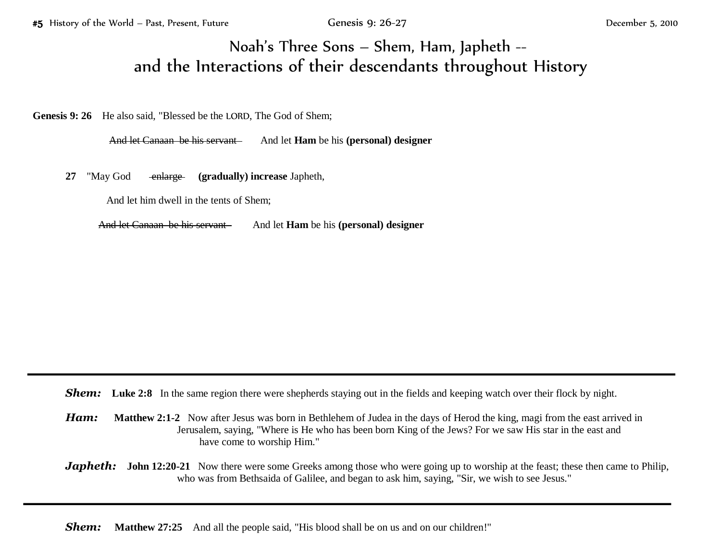## Noah's Three Sons – Shem, Ham, Japheth - and the Interactions of their descendants throughout History

**Genesis 9: 26** He also said, "Blessed be the LORD, The God of Shem;

And let Canaan be his servant And let **Ham** be his **(personal)** designer

**27** "May God enlarge **(gradually) increase** Japheth,

And let him dwell in the tents of Shem;

And let Canaan be his servant And let **Ham** be his **(personal)** designer

**Shem:** Luke 2:8 In the same region there were shepherds staying out in the fields and keeping watch over their flock by night.

- **Ham:** Matthew 2:1-2 Now after Jesus was born in Bethlehem of Judea in the days of Herod the king, magi from the east arrived in Jerusalem, saying, "Where is He who has been born King of the Jews? For we saw His star in the east and have come to worship Him."
- *Japheth:* John 12:20-21 Now there were some Greeks among those who were going up to worship at the feast; these then came to Philip, who was from Bethsaida of Galilee, and began to ask him, saying, "Sir, we wish to see Jesus."